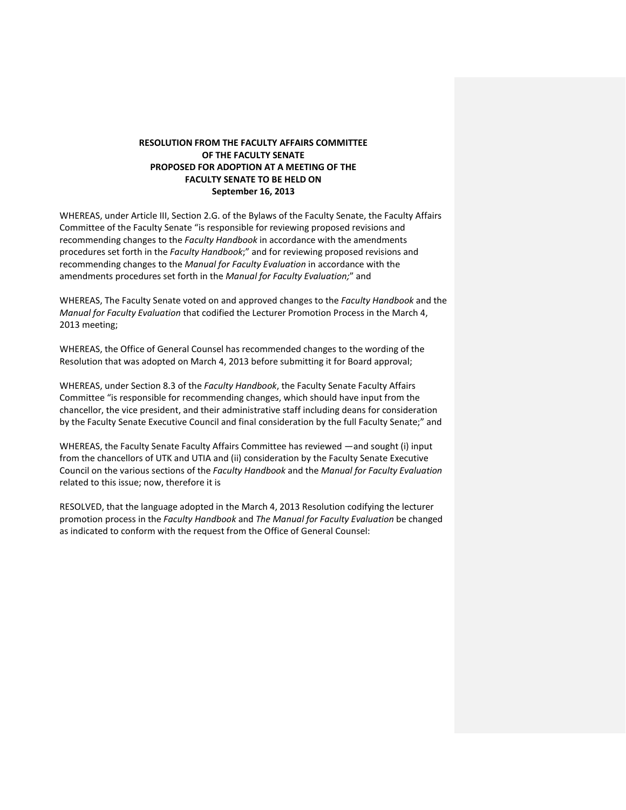## **RESOLUTION FROM THE FACULTY AFFAIRS COMMITTEE OF THE FACULTY SENATE PROPOSED FOR ADOPTION AT A MEETING OF THE FACULTY SENATE TO BE HELD ON September 16, 2013**

WHEREAS, under Article III, Section 2.G. of the Bylaws of the Faculty Senate, the Faculty Affairs Committee of the Faculty Senate "is responsible for reviewing proposed revisions and recommending changes to the *Faculty Handbook* in accordance with the amendments procedures set forth in the *Faculty Handbook*;" and for reviewing proposed revisions and recommending changes to the *Manual for Faculty Evaluation* in accordance with the amendments procedures set forth in the *Manual for Faculty Evaluation;*" and

WHEREAS, The Faculty Senate voted on and approved changes to the *Faculty Handbook* and the *Manual for Faculty Evaluation* that codified the Lecturer Promotion Process in the March 4, 2013 meeting;

WHEREAS, the Office of General Counsel has recommended changes to the wording of the Resolution that was adopted on March 4, 2013 before submitting it for Board approval;

WHEREAS, under Section 8.3 of the *Faculty Handbook*, the Faculty Senate Faculty Affairs Committee "is responsible for recommending changes, which should have input from the chancellor, the vice president, and their administrative staff including deans for consideration by the Faculty Senate Executive Council and final consideration by the full Faculty Senate;" and

WHEREAS, the Faculty Senate Faculty Affairs Committee has reviewed —and sought (i) input from the chancellors of UTK and UTIA and (ii) consideration by the Faculty Senate Executive Council on the various sections of the *Faculty Handbook* and the *Manual for Faculty Evaluation* related to this issue; now, therefore it is

RESOLVED, that the language adopted in the March 4, 2013 Resolution codifying the lecturer promotion process in the *Faculty Handbook* and *The Manual for Faculty Evaluation* be changed as indicated to conform with the request from the Office of General Counsel: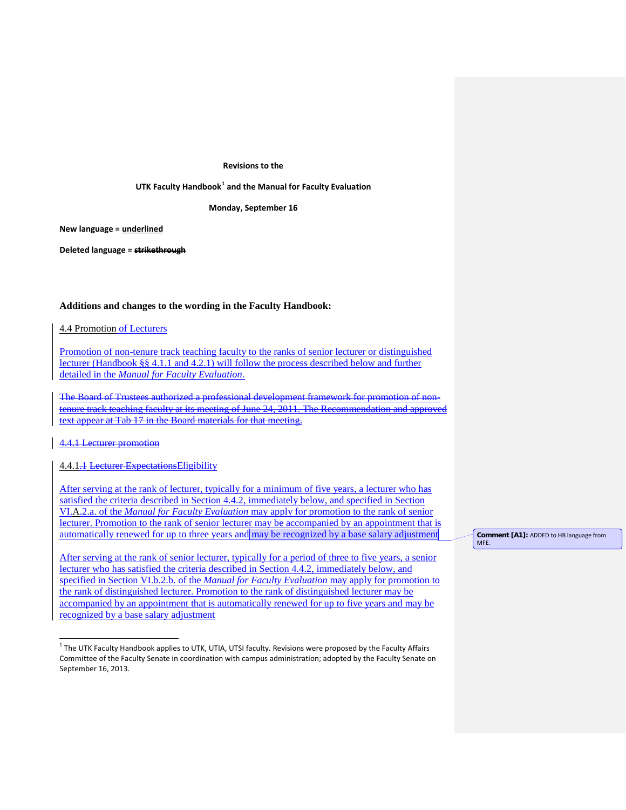#### **Revisions to the**

**UTK Faculty Handbook[1](#page-1-0) and the Manual for Faculty Evaluation**

**Monday, September 16**

**New language = underlined**

**Deleted language = strikethrough**

#### **Additions and changes to the wording in the Faculty Handbook:**

4.4 Promotion of Lecturers

Promotion of non-tenure track teaching faculty to the ranks of senior lecturer or distinguished lecturer (Handbook §§ 4.1.1 and 4.2.1) will follow the process described below and further detailed in the *Manual for Faculty Evaluation*.

The Board of Trustees authorized a professional development framework for promotion of nontenure track teaching faculty at its meeting of June 24, 2011. The Recommendation and approve text appear at Tab 17 in the Board materials for that meeting.

#### 4.4.1 Lecturer promotion

 $\overline{a}$ 

4.4.1.1 Lecturer ExpectationsEligibility

After serving at the rank of lecturer, typically for a minimum of five years, a lecturer who has satisfied the criteria described in Section 4.4.2, immediately below, and specified in Section VI.A.2.a. of the *Manual for Faculty Evaluation* may apply for promotion to the rank of senior lecturer. Promotion to the rank of senior lecturer may be accompanied by an appointment that is automatically renewed for up to three years and may be recognized by a base salary adjustment

After serving at the rank of senior lecturer, typically for a period of three to five years, a senior lecturer who has satisfied the criteria described in Section 4.4.2, immediately below, and specified in Section VI.b.2.b. of the *Manual for Faculty Evaluation* may apply for promotion to the rank of distinguished lecturer. Promotion to the rank of distinguished lecturer may be accompanied by an appointment that is automatically renewed for up to five years and may be recognized by a base salary adjustment

**Comment [A1]:** ADDED to HB language from MFE.

<span id="page-1-0"></span> $1$  The UTK Faculty Handbook applies to UTK, UTIA, UTSI faculty. Revisions were proposed by the Faculty Affairs Committee of the Faculty Senate in coordination with campus administration; adopted by the Faculty Senate on September 16, 2013.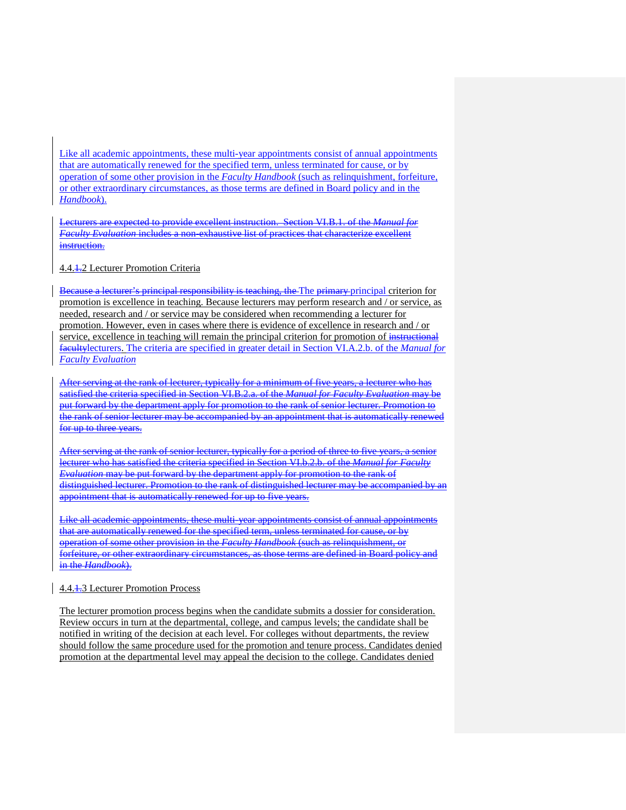Like all academic appointments, these multi-year appointments consist of annual appointments that are automatically renewed for the specified term, unless terminated for cause, or by operation of some other provision in the *Faculty Handbook* (such as relinquishment, forfeiture, or other extraordinary circumstances, as those terms are defined in Board policy and in the *Handbook*).

Lecturers are expected to provide excellent instruction. Section VI.B.1. of the *Manual for Faculty Evaluation* includes a non-exhaustive list of practices that characterize excellent instruction.

## 4.4.1.2 Lecturer Promotion Criteria

Because a lecturer's principal responsibility is teaching, the The primary principal criterion for promotion is excellence in teaching. Because lecturers may perform research and / or service, as needed, research and / or service may be considered when recommending a lecturer for promotion. However, even in cases where there is evidence of excellence in research and / or service, excellence in teaching will remain the principal criterion for promotion of instructional facultylecturers. The criteria are specified in greater detail in Section VI.A.2.b. of the *Manual for Faculty Evaluation*

After serving at the rank of lecturer, typically for a minimum of five years, a lecturer who has satisfied the criteria specified in Section VI.B.2.a. of the *Manual for Faculty Evaluation* may be put forward by the department apply for promotion to the rank of senior lecturer. Promotion to the rank of senior lecturer may be accompanied by an appointment that is automatically renewed for up to three years.

After serving at the rank of senior lecturer, typically for a period of three to five years, a senior lecturer who has satisfied the criteria specified in Section VI.b.2.b. of the *Manual for Faculty Evaluation* may be put forward by the department apply for promotion to the rank of distinguished lecturer. Promotion to the rank of distinguished lecturer may be accompanied by an appointment that is automatically renewed for up to five years.

Like all academic appointments, these multi-year appointments consist of annual appointments that are automatically renewed for the specified term, unless terminated for cause, or by operation of some other provision in the *Faculty Handbook* (such as relinquishment, or forfeiture, or other extraordinary circumstances, as those terms are defined in Board policy and in the *Handbook*).

## 4.4.1.3 Lecturer Promotion Process

The lecturer promotion process begins when the candidate submits a dossier for consideration. Review occurs in turn at the departmental, college, and campus levels; the candidate shall be notified in writing of the decision at each level. For colleges without departments, the review should follow the same procedure used for the promotion and tenure process. Candidates denied promotion at the departmental level may appeal the decision to the college. Candidates denied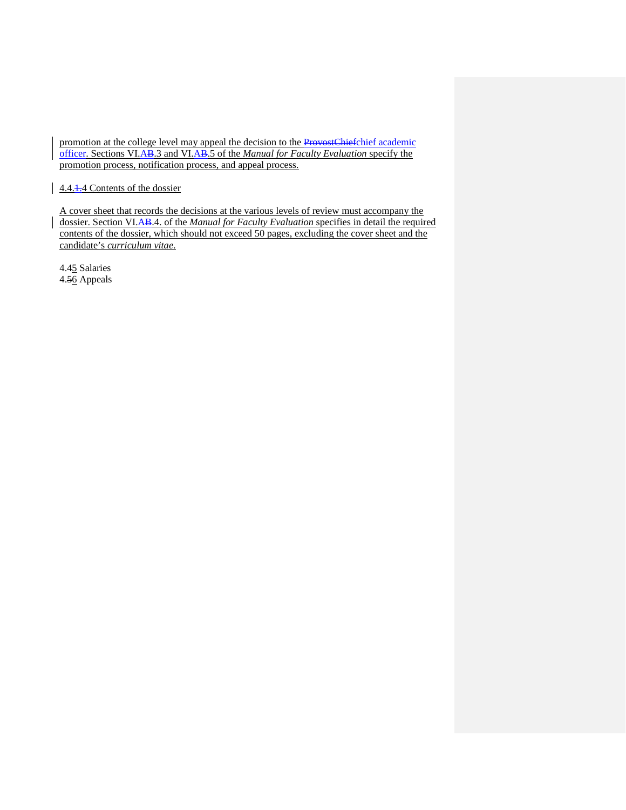promotion at the college level may appeal the decision to the ProvostChiefchief academic officer. Sections VI.AB.3 and VI.AB.5 of the *Manual for Faculty Evaluation* specify the promotion process, notification process, and appeal process*.*

## 4.4.1.4 Contents of the dossier

A cover sheet that records the decisions at the various levels of review must accompany the dossier. Section VI.AB.4. of the *Manual for Faculty Evaluation* specifies in detail the required contents of the dossier, which should not exceed 50 pages, excluding the cover sheet and the candidate's *curriculum vitae*.

4.45 Salaries 4.56 Appeals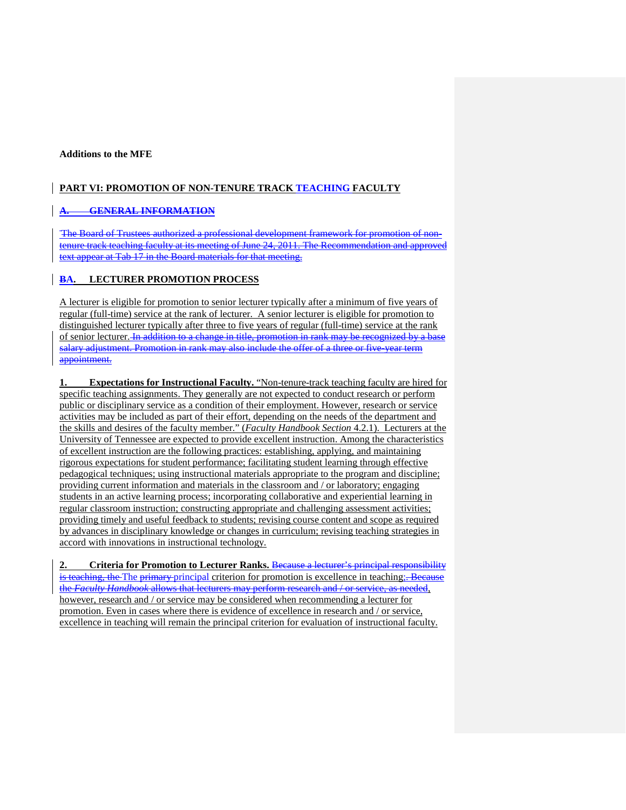## **Additions to the MFE**

## **PART VI: PROMOTION OF NON-TENURE TRACK TEACHING FACULTY**

# **A. GENERAL INFORMATION**

The Board of Trustees authorized a professional development framework for promotion of nontenure track teaching faculty at its meeting of June 24, 2011. The Recommendation and approved text appear at Tab 17 in the Board materials for that meeting.

# **BA. LECTURER PROMOTION PROCESS**

A lecturer is eligible for promotion to senior lecturer typically after a minimum of five years of regular (full-time) service at the rank of lecturer. A senior lecturer is eligible for promotion to distinguished lecturer typically after three to five years of regular (full-time) service at the rank of senior lecturer. In addition to a change in title, promotion in rank may be recognized by a base salary adjustment. Promotion in rank may also include the offer of a three or five-year term appointment.

**Expectations for Instructional Faculty.** "Non-tenure-track teaching faculty are hired for specific teaching assignments. They generally are not expected to conduct research or perform public or disciplinary service as a condition of their employment. However, research or service activities may be included as part of their effort, depending on the needs of the department and the skills and desires of the faculty member." (*Faculty Handbook Section* 4.2.1). Lecturers at the University of Tennessee are expected to provide excellent instruction. Among the characteristics of excellent instruction are the following practices: establishing, applying, and maintaining rigorous expectations for student performance; facilitating student learning through effective pedagogical techniques; using instructional materials appropriate to the program and discipline; providing current information and materials in the classroom and / or laboratory; engaging students in an active learning process; incorporating collaborative and experiential learning in regular classroom instruction; constructing appropriate and challenging assessment activities; providing timely and useful feedback to students; revising course content and scope as required by advances in disciplinary knowledge or changes in curriculum; revising teaching strategies in accord with innovations in instructional technology.

**2. Criteria for Promotion to Lecturer Ranks.** Because a lecturer's principal responsibility is teaching, the The primary principal criterion for promotion is excellence in teaching; Because the *Faculty Handbook* allows that lecturers may perform research and / or service, as needed, however, research and / or service may be considered when recommending a lecturer for promotion. Even in cases where there is evidence of excellence in research and / or service, excellence in teaching will remain the principal criterion for evaluation of instructional faculty.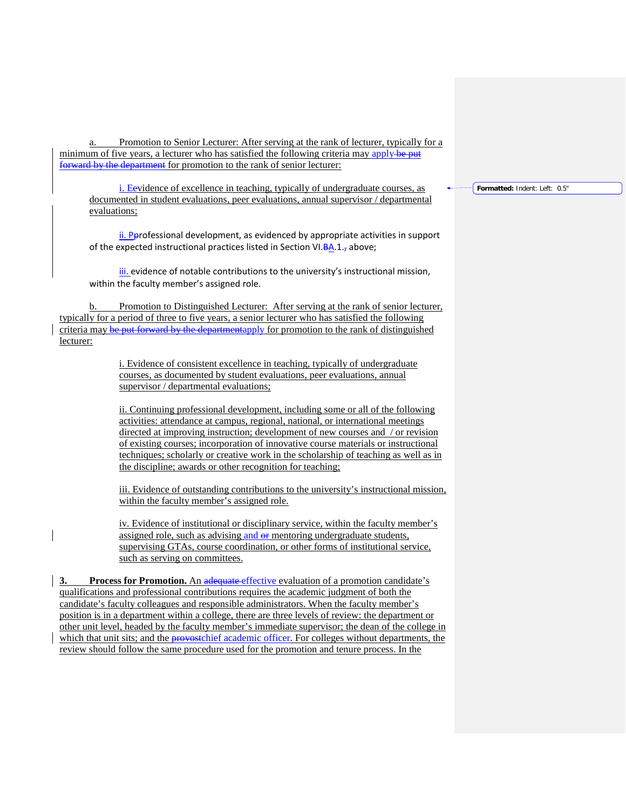Promotion to Senior Lecturer: After serving at the rank of lecturer, typically for a minimum of five years, a lecturer who has satisfied the following criteria may apply be put forward by the department for promotion to the rank of senior lecturer:

i. Eevidence of excellence in teaching, typically of undergraduate courses, as documented in student evaluations, peer evaluations, annual supervisor / departmental evaluations;

ii. Perofessional development, as evidenced by appropriate activities in support of the expected instructional practices listed in Section VI.BA.1., above;

iii. evidence of notable contributions to the university's instructional mission, within the faculty member's assigned role.

Promotion to Distinguished Lecturer: After serving at the rank of senior lecturer, typically for a period of three to five years, a senior lecturer who has satisfied the following criteria may be put forward by the departmentapply for promotion to the rank of distinguished lecturer:

> i. Evidence of consistent excellence in teaching, typically of undergraduate courses, as documented by student evaluations, peer evaluations, annual supervisor / departmental evaluations;

ii. Continuing professional development, including some or all of the following activities: attendance at campus, regional, national, or international meetings directed at improving instruction; development of new courses and / or revision of existing courses; incorporation of innovative course materials or instructional techniques; scholarly or creative work in the scholarship of teaching as well as in the discipline; awards or other recognition for teaching;

iii. Evidence of outstanding contributions to the university's instructional mission, within the faculty member's assigned role.

iv. Evidence of institutional or disciplinary service, within the faculty member's assigned role, such as advising and  $er$  mentoring undergraduate students, supervising GTAs, course coordination, or other forms of institutional service, such as serving on committees.

**3. Process for Promotion.** An adequate effective evaluation of a promotion candidate's qualifications and professional contributions requires the academic judgment of both the candidate's faculty colleagues and responsible administrators. When the faculty member's position is in a department within a college, there are three levels of review: the department or other unit level, headed by the faculty member's immediate supervisor; the dean of the college in which that unit sits; and the provestchief academic officer. For colleges without departments, the review should follow the same procedure used for the promotion and tenure process. In the

#### **Formatted:** Indent: Left: 0.5"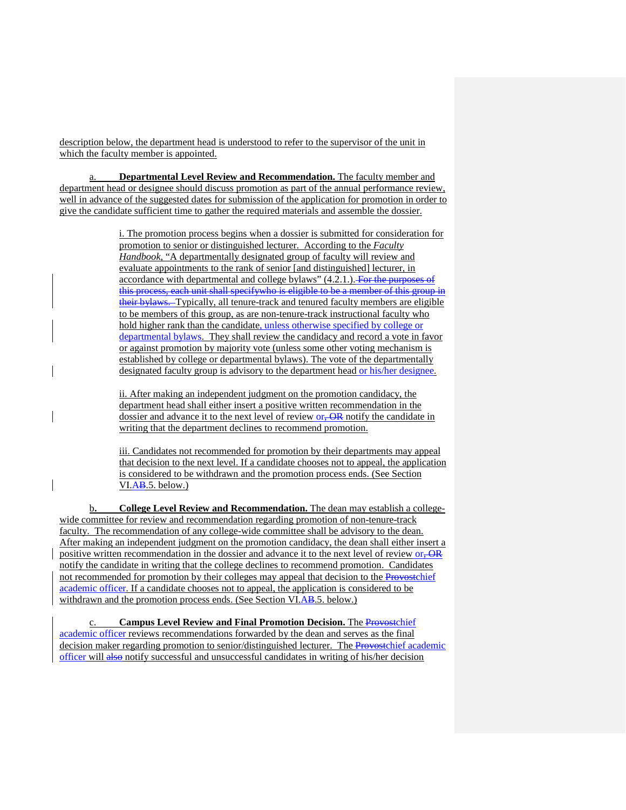description below, the department head is understood to refer to the supervisor of the unit in which the faculty member is appointed.

a. **Departmental Level Review and Recommendation.** The faculty member and department head or designee should discuss promotion as part of the annual performance review, well in advance of the suggested dates for submission of the application for promotion in order to give the candidate sufficient time to gather the required materials and assemble the dossier.

> i. The promotion process begins when a dossier is submitted for consideration for promotion to senior or distinguished lecturer. According to the *Faculty Handbook*, "A departmentally designated group of faculty will review and evaluate appointments to the rank of senior [and distinguished] lecturer, in accordance with departmental and college bylaws" (4.2.1.). For the purposes of this process, each unit shall specifywho is eligible to be a member of this group in their bylaws. Typically, all tenure-track and tenured faculty members are eligible to be members of this group, as are non-tenure-track instructional faculty who hold higher rank than the candidate, unless otherwise specified by college or departmental bylaws. They shall review the candidacy and record a vote in favor or against promotion by majority vote (unless some other voting mechanism is established by college or departmental bylaws). The vote of the departmentally designated faculty group is advisory to the department head or his/her designee.

ii. After making an independent judgment on the promotion candidacy, the department head shall either insert a positive written recommendation in the dossier and advance it to the next level of review or, OR notify the candidate in writing that the department declines to recommend promotion.

iii. Candidates not recommended for promotion by their departments may appeal that decision to the next level. If a candidate chooses not to appeal, the application is considered to be withdrawn and the promotion process ends. (See Section VI.AB.5. below.)

b**. College Level Review and Recommendation.** The dean may establish a collegewide committee for review and recommendation regarding promotion of non-tenure-track faculty. The recommendation of any college-wide committee shall be advisory to the dean. After making an independent judgment on the promotion candidacy, the dean shall either insert a positive written recommendation in the dossier and advance it to the next level of review or. OR notify the candidate in writing that the college declines to recommend promotion. Candidates not recommended for promotion by their colleges may appeal that decision to the Provostchief academic officer. If a candidate chooses not to appeal, the application is considered to be withdrawn and the promotion process ends. (See Section VI.AB.5. below.)

c. **Campus Level Review and Final Promotion Decision.** The Provostchief academic officer reviews recommendations forwarded by the dean and serves as the final decision maker regarding promotion to senior/distinguished lecturer. The Provostchief academic officer will also notify successful and unsuccessful candidates in writing of his/her decision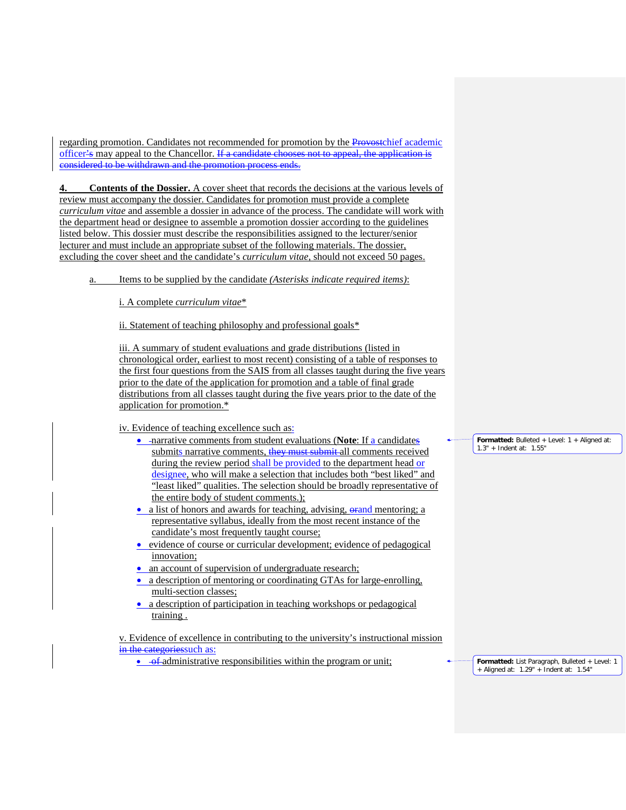regarding promotion. Candidates not recommended for promotion by the Provostchief academic officer's may appeal to the Chancellor. If a candidate chooses not to appeal, the application is considered to be withdrawn and the promotion process ends.

**4. Contents of the Dossier.** A cover sheet that records the decisions at the various levels of review must accompany the dossier. Candidates for promotion must provide a complete *curriculum vitae* and assemble a dossier in advance of the process. The candidate will work with the department head or designee to assemble a promotion dossier according to the guidelines listed below. This dossier must describe the responsibilities assigned to the lecturer/senior lecturer and must include an appropriate subset of the following materials. The dossier, excluding the cover sheet and the candidate's *curriculum vitae*, should not exceed 50 pages.

a. Items to be supplied by the candidate *(Asterisks indicate required items)*:

i. A complete *curriculum vitae*\*

ii. Statement of teaching philosophy and professional goals\*

iii. A summary of student evaluations and grade distributions (listed in chronological order, earliest to most recent) consisting of a table of responses to the first four questions from the SAIS from all classes taught during the five years prior to the date of the application for promotion and a table of final grade distributions from all classes taught during the five years prior to the date of the application for promotion.\*

iv. Evidence of teaching excellence such as:

- narrative comments from student evaluations (**Note**: If a candidates submits narrative comments, they must submit all comments received during the review period shall be provided to the department head or designee, who will make a selection that includes both "best liked" and "least liked" qualities. The selection should be broadly representative of the entire body of student comments.);
- a list of honors and awards for teaching, advising,  $\theta$  and mentoring; a representative syllabus, ideally from the most recent instance of the candidate's most frequently taught course;
- evidence of course or curricular development; evidence of pedagogical innovation;
- an account of supervision of undergraduate research;
- a description of mentoring or coordinating GTAs for large-enrolling, multi-section classes;
- a description of participation in teaching workshops or pedagogical training .

v. Evidence of excellence in contributing to the university's instructional mission in the categories such as:

• of administrative responsibilities within the program or unit;

**Formatted:** Bulleted + Level: 1 + Aligned at: 1.3" + Indent at: 1.55"

**Formatted:** List Paragraph, Bulleted + Level: 1 + Aligned at: 1.29" + Indent at: 1.54"